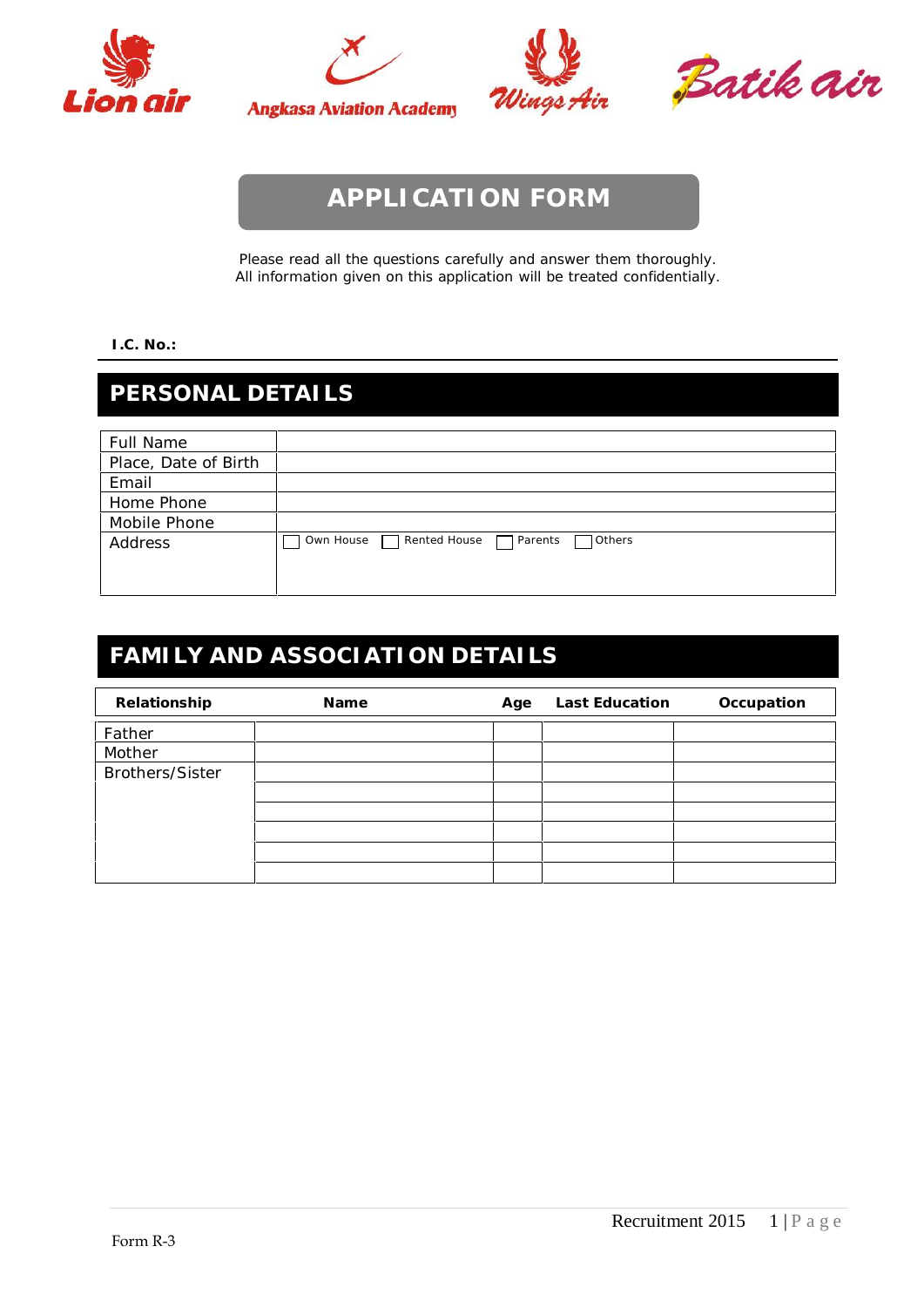





Batik air

# **APPLICATION FORM**

Please read all the questions carefully and answer them thoroughly. All information given on this application will be treated confidentially.

#### **I.C. No.:**

### **PERSONAL DETAILS**

| Full Name            |                                                       |
|----------------------|-------------------------------------------------------|
| Place, Date of Birth |                                                       |
| Email                |                                                       |
| Home Phone           |                                                       |
| Mobile Phone         |                                                       |
| Address              | Rented House<br>Own House<br>$\Box$ Parents<br>Others |
|                      |                                                       |
|                      |                                                       |

## **FAMILY AND ASSOCIATION DETAILS**

| Relationship           | Name | Age | Last Education | Occupation |
|------------------------|------|-----|----------------|------------|
| Father                 |      |     |                |            |
| Mother                 |      |     |                |            |
| <b>Brothers/Sister</b> |      |     |                |            |
|                        |      |     |                |            |
|                        |      |     |                |            |
|                        |      |     |                |            |
|                        |      |     |                |            |
|                        |      |     |                |            |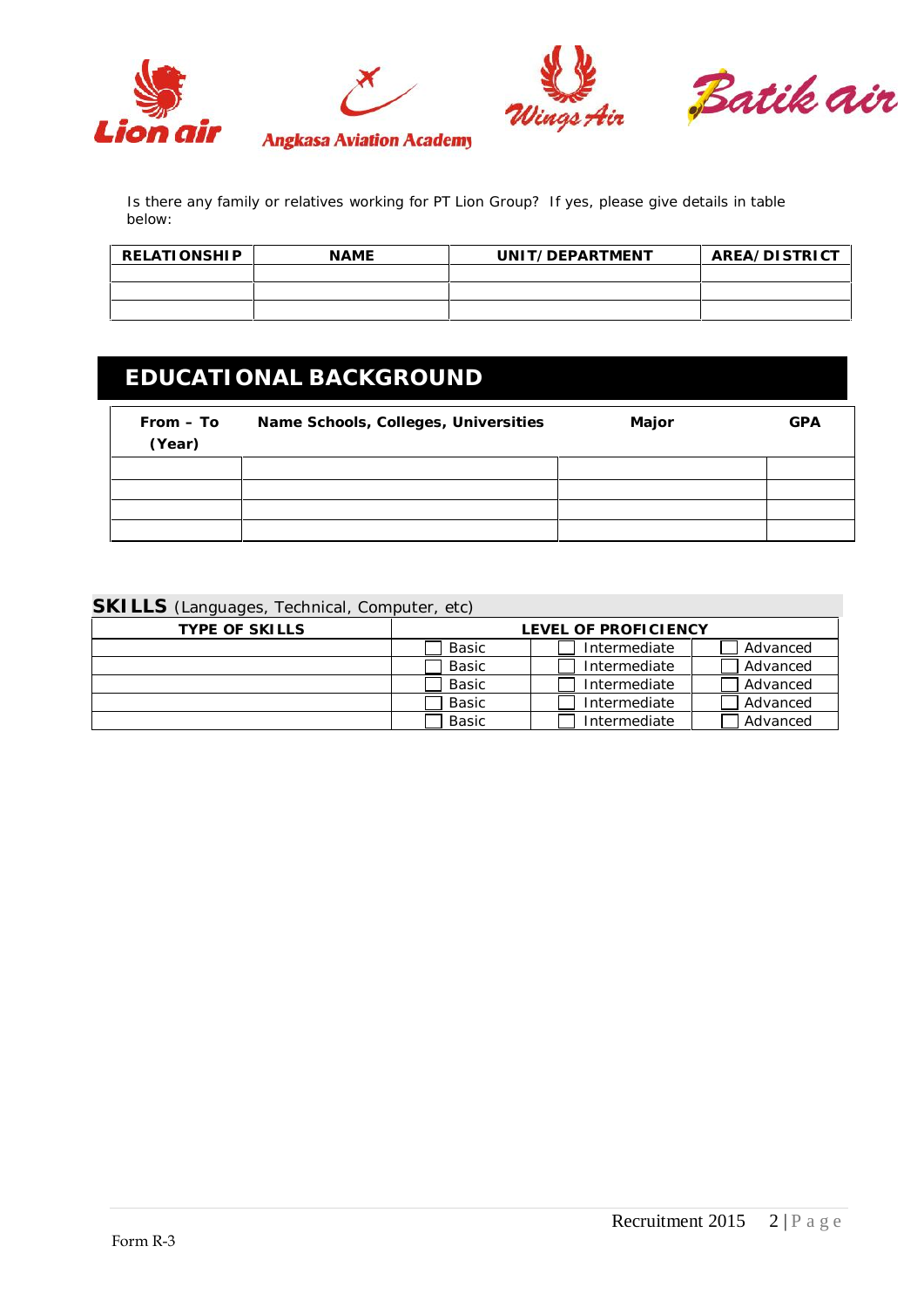

Is there any family or relatives working for PT Lion Group? If yes, please give details in table below:

| RELATIONSHIP | <b>NAME</b> | UNIT/DEPARTMENT | AREA/DISTRICT |
|--------------|-------------|-----------------|---------------|
|              |             |                 |               |
|              |             |                 |               |
|              |             |                 |               |

## **EDUCATIONAL BACKGROUND**

| $From - To$<br>(Year) | Name Schools, Colleges, Universities | Major | <b>GPA</b> |
|-----------------------|--------------------------------------|-------|------------|
|                       |                                      |       |            |
|                       |                                      |       |            |
|                       |                                      |       |            |
|                       |                                      |       |            |

#### **SKILLS** (Languages, Technical, Computer, etc)

| TYPE OF SKILLS | LEVEL OF PROFICIENCY |              |          |
|----------------|----------------------|--------------|----------|
|                | Basic                | Intermediate | Advanced |
|                | Basic                | Intermediate | Advanced |
|                | Basic                | Intermediate | Advanced |
|                | Basic                | Intermediate | Advanced |
|                | Basic                | Intermediate | Advanced |